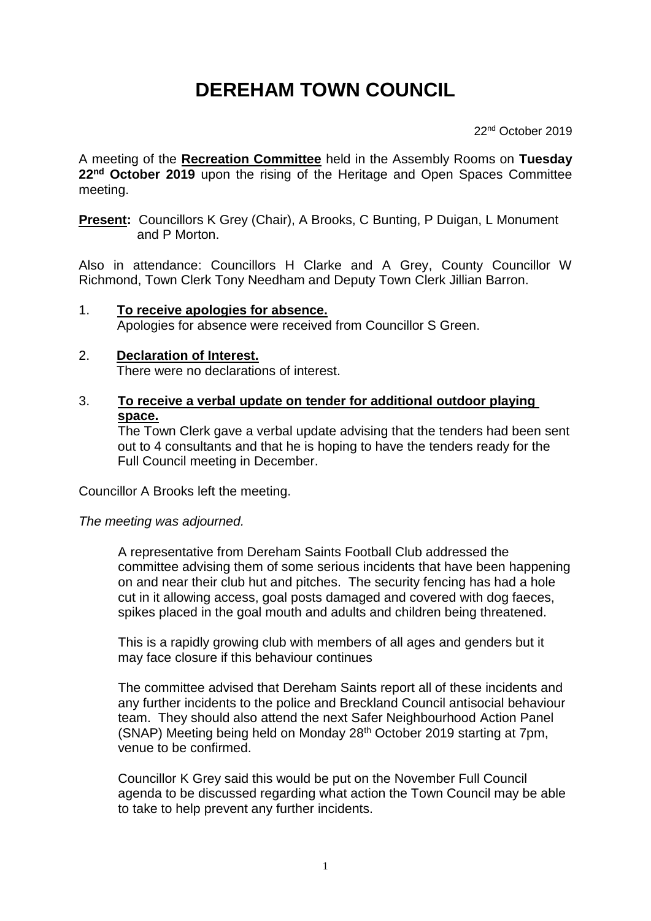## **DEREHAM TOWN COUNCIL**

22nd October 2019

A meeting of the **Recreation Committee** held in the Assembly Rooms on **Tuesday 22nd October 2019** upon the rising of the Heritage and Open Spaces Committee meeting.

**Present:** Councillors K Grey (Chair), A Brooks, C Bunting, P Duigan, L Monument and P Morton.

Also in attendance: Councillors H Clarke and A Grey, County Councillor W Richmond, Town Clerk Tony Needham and Deputy Town Clerk Jillian Barron.

1. **To receive apologies for absence.** Apologies for absence were received from Councillor S Green.

## 2. **Declaration of Interest.** There were no declarations of interest.

3. **To receive a verbal update on tender for additional outdoor playing space.**

The Town Clerk gave a verbal update advising that the tenders had been sent out to 4 consultants and that he is hoping to have the tenders ready for the Full Council meeting in December.

Councillor A Brooks left the meeting.

*The meeting was adjourned.*

A representative from Dereham Saints Football Club addressed the committee advising them of some serious incidents that have been happening on and near their club hut and pitches. The security fencing has had a hole cut in it allowing access, goal posts damaged and covered with dog faeces, spikes placed in the goal mouth and adults and children being threatened.

This is a rapidly growing club with members of all ages and genders but it may face closure if this behaviour continues

The committee advised that Dereham Saints report all of these incidents and any further incidents to the police and Breckland Council antisocial behaviour team. They should also attend the next Safer Neighbourhood Action Panel (SNAP) Meeting being held on Monday 28th October 2019 starting at 7pm, venue to be confirmed.

Councillor K Grey said this would be put on the November Full Council agenda to be discussed regarding what action the Town Council may be able to take to help prevent any further incidents.